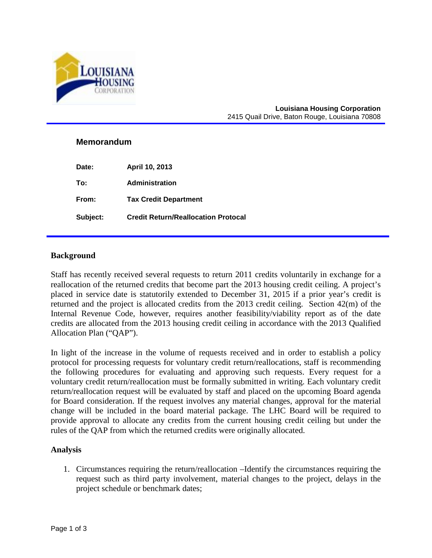

#### **Louisiana Housing Corporation** 2415 Quail Drive, Baton Rouge, Louisiana 70808

### **Memorandum**

**Date: April 10, 2013 To: Administration From: Tax Credit Department Subject: Credit Return/Reallocation Protocal** 

### **Background**

Staff has recently received several requests to return 2011 credits voluntarily in exchange for a reallocation of the returned credits that become part the 2013 housing credit ceiling. A project's placed in service date is statutorily extended to December 31, 2015 if a prior year's credit is returned and the project is allocated credits from the 2013 credit ceiling. Section 42(m) of the Internal Revenue Code, however, requires another feasibility/viability report as of the date credits are allocated from the 2013 housing credit ceiling in accordance with the 2013 Qualified Allocation Plan ("QAP").

In light of the increase in the volume of requests received and in order to establish a policy protocol for processing requests for voluntary credit return/reallocations, staff is recommending the following procedures for evaluating and approving such requests. Every request for a voluntary credit return/reallocation must be formally submitted in writing. Each voluntary credit return/reallocation request will be evaluated by staff and placed on the upcoming Board agenda for Board consideration. If the request involves any material changes, approval for the material change will be included in the board material package. The LHC Board will be required to provide approval to allocate any credits from the current housing credit ceiling but under the rules of the QAP from which the returned credits were originally allocated.

### **Analysis**

1. Circumstances requiring the return/reallocation –Identify the circumstances requiring the request such as third party involvement, material changes to the project, delays in the project schedule or benchmark dates;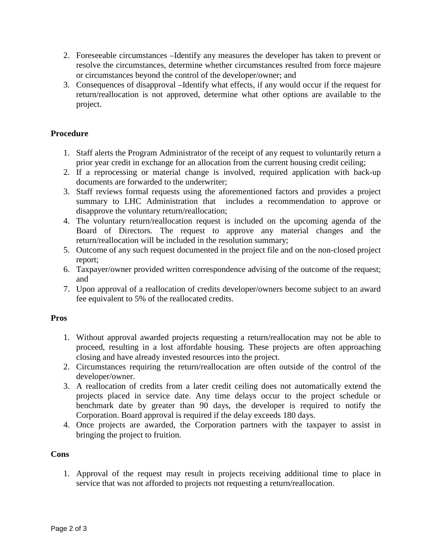- 2. Foreseeable circumstances –Identify any measures the developer has taken to prevent or resolve the circumstances, determine whether circumstances resulted from force majeure or circumstances beyond the control of the developer/owner; and
- 3. Consequences of disapproval –Identify what effects, if any would occur if the request for return/reallocation is not approved, determine what other options are available to the project.

# **Procedure**

- 1. Staff alerts the Program Administrator of the receipt of any request to voluntarily return a prior year credit in exchange for an allocation from the current housing credit ceiling;
- 2. If a reprocessing or material change is involved, required application with back-up documents are forwarded to the underwriter;
- 3. Staff reviews formal requests using the aforementioned factors and provides a project summary to LHC Administration that includes a recommendation to approve or disapprove the voluntary return/reallocation;
- 4. The voluntary return/reallocation request is included on the upcoming agenda of the Board of Directors. The request to approve any material changes and the return/reallocation will be included in the resolution summary;
- 5. Outcome of any such request documented in the project file and on the non-closed project report;
- 6. Taxpayer/owner provided written correspondence advising of the outcome of the request; and
- 7. Upon approval of a reallocation of credits developer/owners become subject to an award fee equivalent to 5% of the reallocated credits.

# **Pros**

- 1. Without approval awarded projects requesting a return/reallocation may not be able to proceed, resulting in a lost affordable housing. These projects are often approaching closing and have already invested resources into the project.
- 2. Circumstances requiring the return/reallocation are often outside of the control of the developer/owner.
- 3. A reallocation of credits from a later credit ceiling does not automatically extend the projects placed in service date. Any time delays occur to the project schedule or benchmark date by greater than 90 days, the developer is required to notify the Corporation. Board approval is required if the delay exceeds 180 days.
- 4. Once projects are awarded, the Corporation partners with the taxpayer to assist in bringing the project to fruition.

# **Cons**

1. Approval of the request may result in projects receiving additional time to place in service that was not afforded to projects not requesting a return/reallocation.